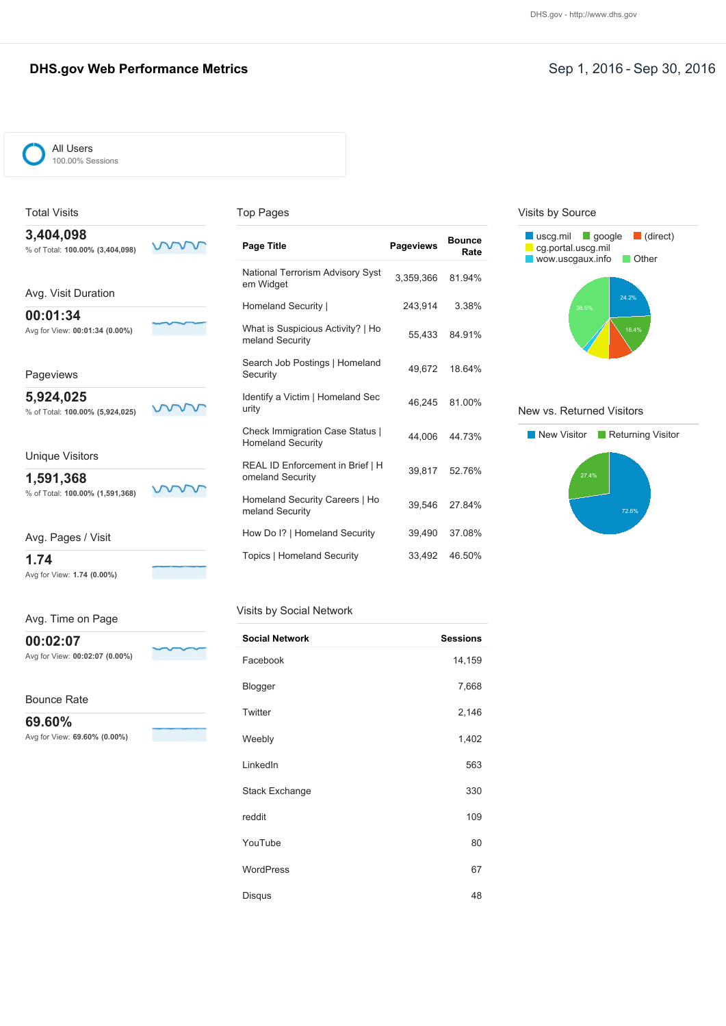### **DHS.gov Web Performance Metrics** Network Contract Contract Contract Contract Contract Contract Contract Contract Contract Contract Contract Contract Contract Contract Contract Contract Contract Contract Contract Contract

#### All Users 100.00% Sessions

### Total Visits

#### Top Pages

**3,404,098** % of Total: **100.00% (3,404,098)**

Avg. Visit Duration

**00:01:34** Avg for View: **00:01:34 (0.00%)**

Pageviews

**5,924,025** % of Total: **100.00% (5,924,025)**

vvv ν

Unique Visitors

**1,591,368** % of Total: **100.00% (1,591,368)**

ww ν

ww

Avg. Pages / Visit

**1.74** Avg for View: **1.74 (0.00%)**

Avg. Time on Page

**00:02:07**

Avg for View: **00:02:07 (0.00%)**

Bounce Rate

**69.60%**

Avg for View: **69.60% (0.00%)**

| Page Title                                                         | <b>Pageviews</b> | <b>Bounce</b><br>Rate |
|--------------------------------------------------------------------|------------------|-----------------------|
| National Terrorism Advisory Syst<br>em Widget                      | 3,359,366        | 81.94%                |
| Homeland Security                                                  | 243.914          | 3.38%                 |
| What is Suspicious Activity?   Ho<br>meland Security               | 55.433           | 84.91%                |
| Search Job Postings   Homeland<br>Security                         |                  | 49,672 18.64%         |
| Identify a Victim   Homeland Sec<br>urity                          | 46.245           | 81.00%                |
| <b>Check Immigration Case Status  </b><br><b>Homeland Security</b> | 44,006           | 44.73%                |
| REAL ID Enforcement in Brief   H<br>omeland Security               | 39,817           | 52.76%                |
| Homeland Security Careers   Ho<br>meland Security                  |                  | 39,546 27.84%         |
| How Do I?   Homeland Security                                      | 39,490           | 37.08%                |
| <b>Topics   Homeland Security</b>                                  | 33,492           | 46.50%                |

#### Visits by Social Network

| <b>Social Network</b> | <b>Sessions</b> |
|-----------------------|-----------------|
| Facebook              | 14,159          |
| Blogger               | 7,668           |
| Twitter               | 2,146           |
| Weebly                | 1,402           |
| LinkedIn              | 563             |
| Stack Exchange        | 330             |
| reddit                | 109             |
| YouTube               | 80              |
| <b>WordPress</b>      | 67              |
| Disqus                | 48              |

#### Visits by Source



#### New vs. Returned Visitors

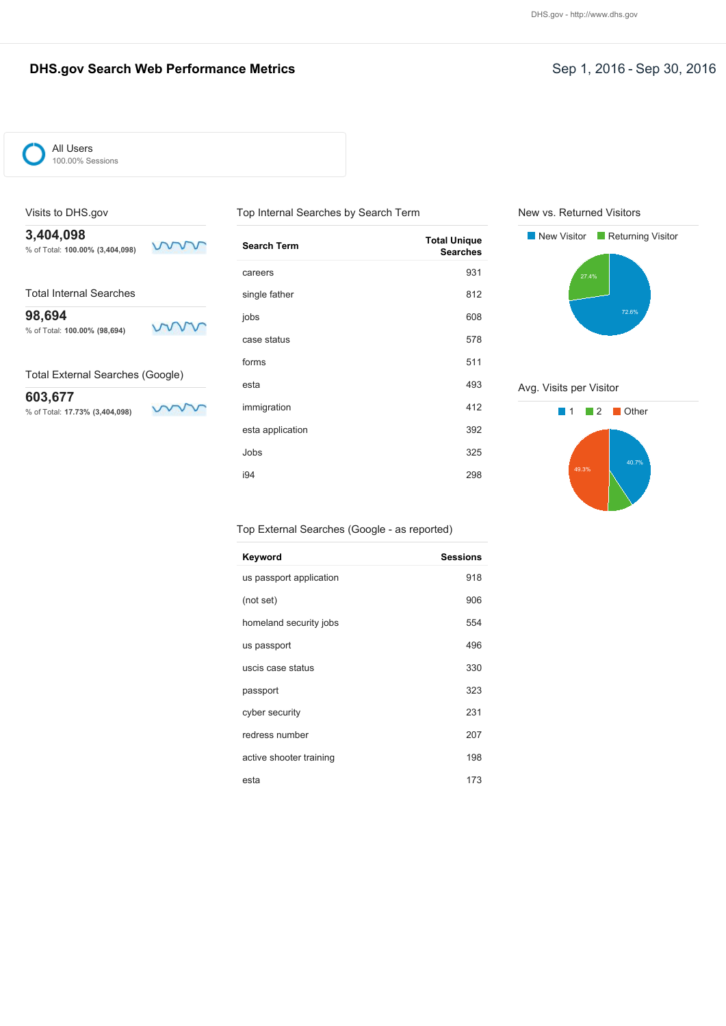### **DHS.gov Search Web Performance Metrics Sep 1, 2016 - Sep 30, 2016**



#### Visits to DHS.gov

**3,404,098** % of Total: **100.00% (3,404,098)**

Total Internal Searches

**98,694** www % of Total: **100.00% (98,694)**

Total External Searches (Google)

**603,677** % of Total: **17.73% (3,404,098)**

Ş ν

mm

| <b>Search Term</b> | <b>Total Unique</b><br><b>Searches</b> |
|--------------------|----------------------------------------|
| careers            | 931                                    |
| single father      | 812                                    |
| jobs               | 608                                    |
| case status        | 578                                    |
| forms              | 511                                    |
| esta               | 493                                    |
| immigration        | 412                                    |
| esta application   | 392                                    |
| Jobs               | 325                                    |
| i94                | 298                                    |

Top Internal Searches by Search Term

New vs. Returned Visitors



Avg. Visits per Visitor



#### Top External Searches (Google - as reported)

| Keyword                 | <b>Sessions</b> |
|-------------------------|-----------------|
| us passport application | 918             |
| (not set)               | 906             |
| homeland security jobs  | 554             |
| us passport             | 496             |
| uscis case status       | 330             |
| passport                | 323             |
| cyber security          | 231             |
| redress number          | 207             |
| active shooter training | 198             |
| esta                    | 173             |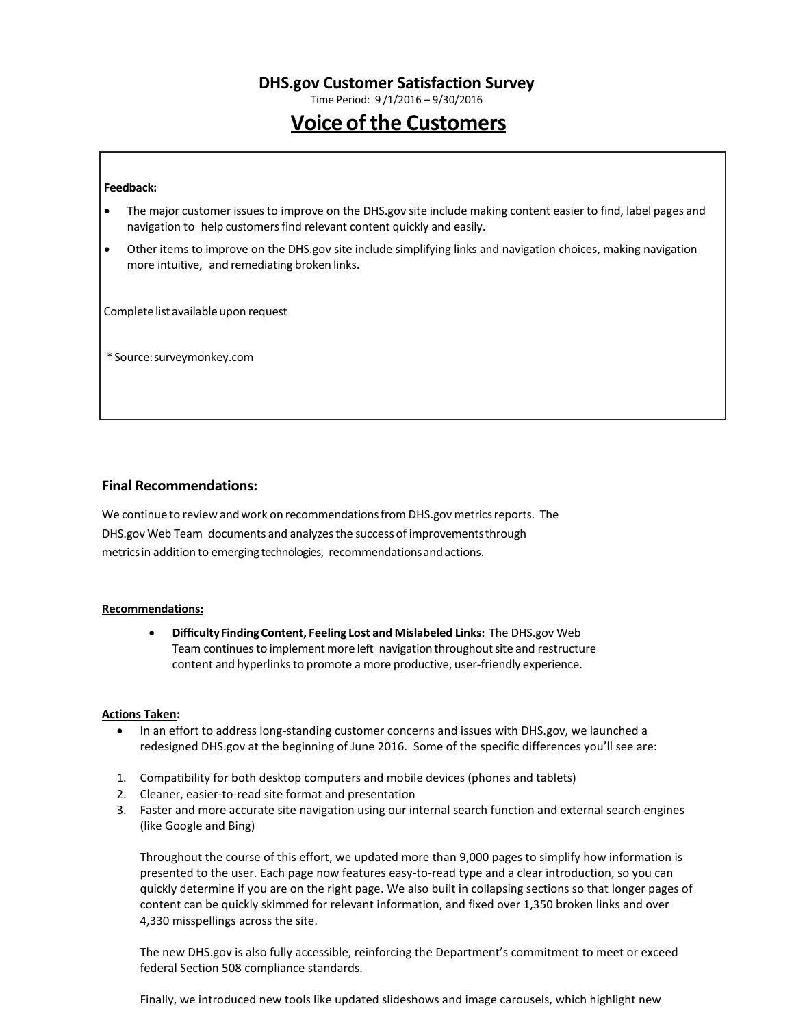Time Period: 9 /1/2016 – 9/30/2016

# **Voice of the Customers**

#### **Feedback:**

- The major customer issuesto improve on the DHS.gov site include making content easier to find, label pages and navigation to help customers find relevant content quickly and easily.
- Other items to improve on the DHS.gov site include simplifying links and navigation choices, making navigation more intuitive, and remediating broken links.

Complete list available upon request

\*Source:surveymonkey.com

#### **Final Recommendations:**

We continue to review and work on recommendations from DHS.gov metrics reports. The DHS.gov Web Team documents and analyzesthe success of improvementsthrough metricsin addition to emerging technologies, recommendationsandactions.

#### **Recommendations:**

 **DifficultyFindingContent, Feeling Lost and Mislabeled Links:** The DHS.gov Web Team continues to implement more left navigation throughout site and restructure content and hyperlinks to promote a more productive, user-friendly experience.

#### **Actions Taken:**

- In an effort to address long-standing customer concerns and issues with DHS.gov, we launched a redesigned DHS.gov at the beginning of June 2016. Some of the specific differences you'll see are:
- 1. Compatibility for both desktop computers and mobile devices (phones and tablets)
- 2. Cleaner, easier-to-read site format and presentation
- 3. Faster and more accurate site navigation using our internal search function and external search engines (like Google and Bing)

Throughout the course of this effort, we updated more than 9,000 pages to simplify how information is presented to the user. Each page now features easy-to-read type and a clear introduction, so you can quickly determine if you are on the right page. We also built in collapsing sections so that longer pages of content can be quickly skimmed for relevant information, and fixed over 1,350 broken links and over 4,330 misspellings across the site.

The new DHS.gov is also fully accessible, reinforcing the Department's commitment to meet or exceed federal Section 508 compliance standards.

Finally, we introduced new tools like updated slideshows and image carousels, which highlight new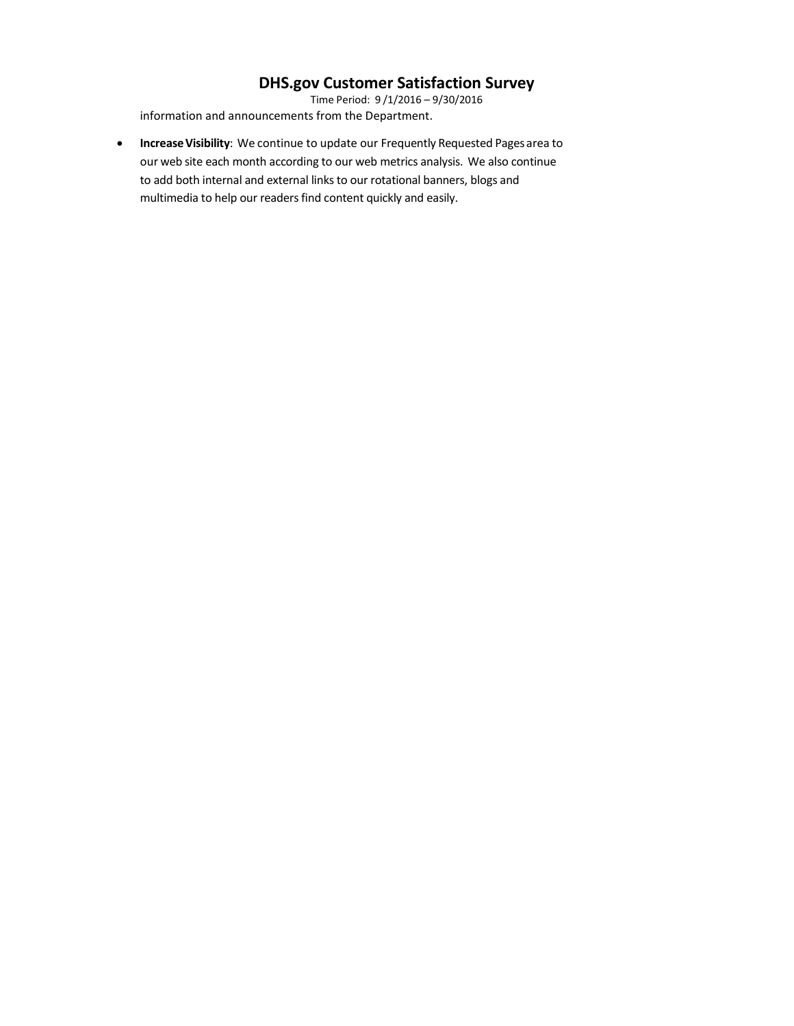Time Period: 9 /1/2016 – 9/30/2016 information and announcements from the Department.

**Increase Visibility**: We continue to update our Frequently Requested Pages area to our web site each month according to our web metrics analysis. We also continue to add both internal and external links to our rotational banners, blogs and multimedia to help our readers find content quickly and easily.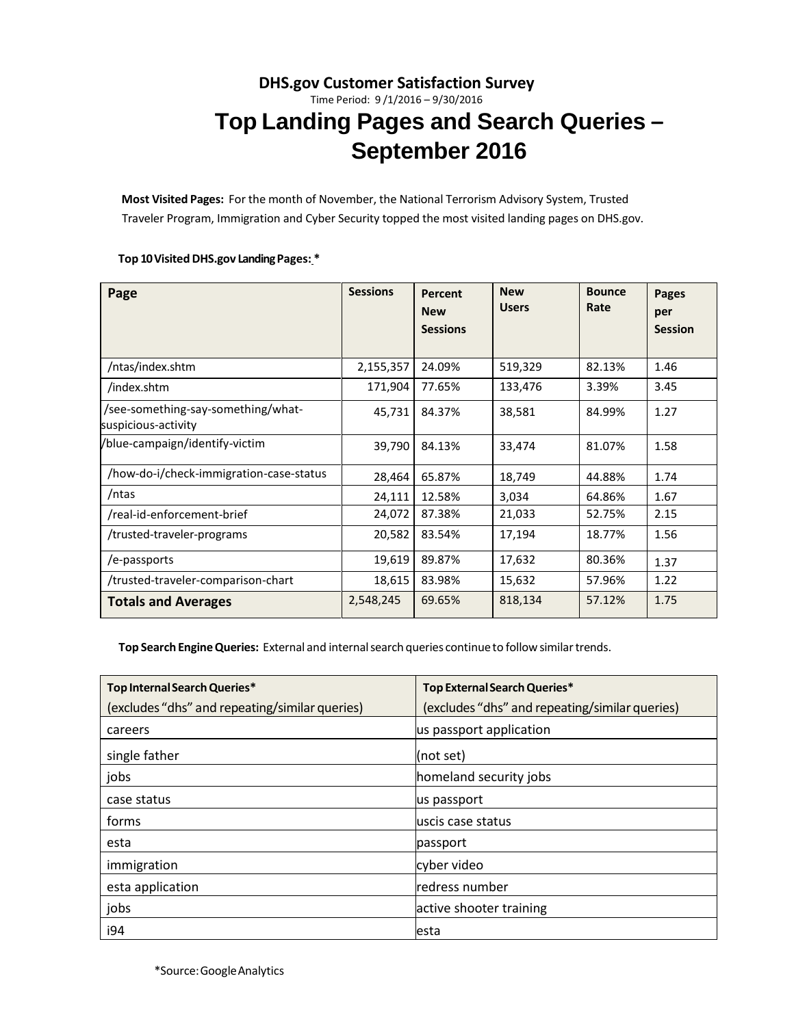# **DHS.gov Customer Satisfaction Survey** Time Period: 9 /1/2016 – 9/30/2016 **Top Landing Pages and Search Queries – September 2016**

**Most Visited Pages:** For the month of November, the National Terrorism Advisory System, Trusted Traveler Program, Immigration and Cyber Security topped the most visited landing pages on DHS.gov.

#### **Top 10Visited DHS.gov LandingPages: \***

| Page                                                      | <b>Sessions</b> | <b>Percent</b><br><b>New</b><br><b>Sessions</b> | <b>New</b><br><b>Users</b> | <b>Bounce</b><br>Rate | <b>Pages</b><br>per<br><b>Session</b> |
|-----------------------------------------------------------|-----------------|-------------------------------------------------|----------------------------|-----------------------|---------------------------------------|
| /ntas/index.shtm                                          | 2,155,357       | 24.09%                                          | 519,329                    | 82.13%                | 1.46                                  |
| /index.shtm                                               | 171,904         | 77.65%                                          | 133,476                    | 3.39%                 | 3.45                                  |
| /see-something-say-something/what-<br>suspicious-activity | 45,731          | 84.37%                                          | 38,581                     | 84.99%                | 1.27                                  |
| /blue-campaign/identify-victim                            | 39,790          | 84.13%                                          | 33,474                     | 81.07%                | 1.58                                  |
| /how-do-i/check-immigration-case-status                   | 28,464          | 65.87%                                          | 18,749                     | 44.88%                | 1.74                                  |
| /ntas                                                     | 24,111          | 12.58%                                          | 3,034                      | 64.86%                | 1.67                                  |
| /real-id-enforcement-brief                                | 24,072          | 87.38%                                          | 21,033                     | 52.75%                | 2.15                                  |
| /trusted-traveler-programs                                | 20,582          | 83.54%                                          | 17,194                     | 18.77%                | 1.56                                  |
| /e-passports                                              | 19,619          | 89.87%                                          | 17,632                     | 80.36%                | 1.37                                  |
| /trusted-traveler-comparison-chart                        | 18,615          | 83.98%                                          | 15,632                     | 57.96%                | 1.22                                  |
| <b>Totals and Averages</b>                                | 2,548,245       | 69.65%                                          | 818,134                    | 57.12%                | 1.75                                  |

Top Search Engine Queries: External and internal search queries continue to follow similar trends.

| Top Internal Search Queries*                   | Top External Search Queries*                   |
|------------------------------------------------|------------------------------------------------|
| (excludes "dhs" and repeating/similar queries) | (excludes "dhs" and repeating/similar queries) |
| careers                                        | us passport application                        |
| single father                                  | (not set)                                      |
| jobs                                           | homeland security jobs                         |
| case status                                    | us passport                                    |
| forms                                          | uscis case status                              |
| esta                                           | passport                                       |
| immigration                                    | cyber video                                    |
| esta application                               | redress number                                 |
| jobs                                           | active shooter training                        |
| i94                                            | lesta                                          |

\*Source:GoogleAnalytics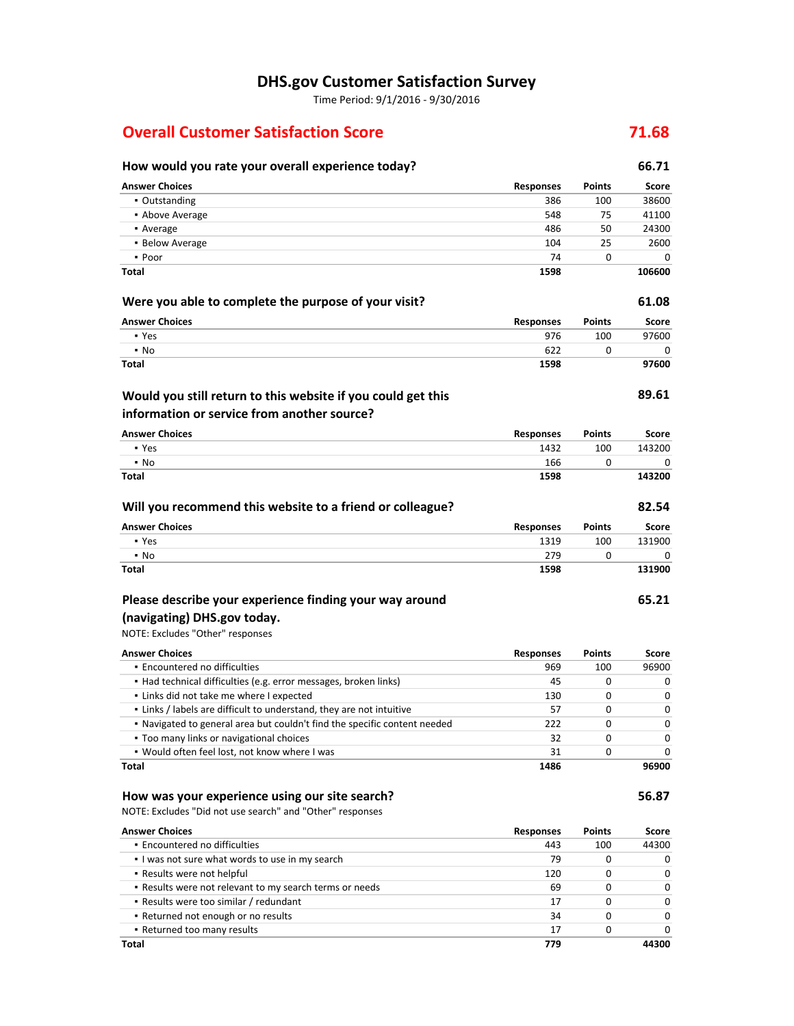Time Period: 9/1/2016 - 9/30/2016

### **Overall Customer Satisfaction Score 71.68**

### **How would you rate your overall experience today? 66.71 Answer Choices Responses Points Score** ▪ Outstanding 386 100 38600 **• Above Average 6548 75 548 75 41100** • Average 24300 **24300** ■ Below Average 2600 ▪ Poor 74 0 0 **Total 1598 106600 Were you able to complete the purpose of your visit? 61.08 Answer Choices Responses Points Score** ▪ Yes 976 100 97600  $\bullet$  No 622 0 0 0 0  $\bullet$ **Total 1598 97600 89.61 Answer Choices Responses Points Score** ▪ Yes 1432 100 143200 ▪ No 166 0 0 **Total 1598 143200 Will you recommend this website to a friend or colleague? 82.54 Answer Choices Responses Points Score** ▪ Yes 1319 100 131900 • No 279 0 0 0 0 0 0 0 1 1 279 0 0 0 0 1 279 1 279 0 0 0 1 279 1 279 1 279 1 279 1 279 1 279 1 279 1 279 1 27 **Total 1598 131900 65.21** NOTE: Excludes "Other" responses **Answer Choices Responses Points Score** ▪ Encountered no difficulties 969 100 96900 ▪ Had technical difficulties (e.g. error messages, broken links) 45 0 0 ▪ Links did not take me where I expected 130 0 0 ▪ Links / labels are difficult to understand, they are not intuitive 57 0 0 ▪ Navigated to general area but couldn't find the specific content needed 222 0 0 ▪ Too many links or navigational choices 32 0 0 ▪ Would often feel lost, not know where I was 31 0 0 **Total 1486 96900 How was your experience using our site search? 56.87** NOTE: Excludes "Did not use search" and "Other" responses **Answer Choices Responses Points Score** ▪ Encountered no difficulties 443 100 44300 ▪ I was not sure what words to use in my search 79 0 0 ▪ Results were not helpful 120 0 0 ▪ Results were not relevant to my search terms or needs 69 0 0 ▪ Results were too similar / redundant 17 0 0 ▪ Returned not enough or no results 34 0 0 ▪ Returned too many results 17 0 0 **Would you still return to this website if you could get this information or service from another source? Please describe your experience finding your way around (navigating) DHS.gov today.**